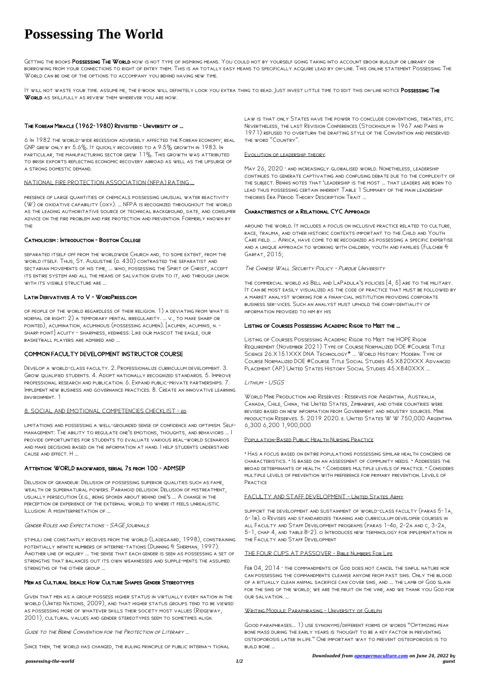*possessing-the-world 1/2*

# **Possessing The World**

GETTING THE BOOKS POSSESSING THE WORLD NOW IS NOT TYPE OF INSPIRING MEANS. YOU COULD NOT BY YOURSELF GOING TAKING INTO ACCOUNT EBOOK BUILDUP OR LIBRARY OR borrowing from your connections to right of entry them. This is an totally easy means to specifically acquire lead by on-line. This online statement Possessing The World can be one of the options to accompany you behind having new time.

It will not waste your time. Assume me, the e-book will definitely look you extra thing to read. Just invest little time to edit this on-line notice Possessing The WORLD AS SKILLFULLY AS REVIEW THEM WHEREVER YOU ARE NOW.

## The Korean Miracle (1962-1980) Revisited - University of …

separated itself off from the worldwide Church and, to some extent, from the world itself. Thus, St. Augustine (d. 430) contrasted the separatist and sectarian movements of his time, ... who, possessing the Spirit of Christ, accept its entire system and all the means of salvation given to it, and through union WITH ITS VISIBLE STRUCTURE ARE ...

6 In 1982 the world-wide recession adversely affected the Korean economy; real GNP GREW ONLY BY  $5.6\%$ . It QUICKLY RECOVERED TO A  $9.5\%$  GROWTH IN 1983. In particular, the manufacturing sector grew  $11\%$ . This growth was attributed to brisk exports reflecting economic recovery abroad as well as the upsurge of a strong domestic demand.

#### NATIONAL FIRE PROTECTION ASSOCIATION (NFPA) RATING …

presence of large quantities of chemicals possessing unusual water reactivity (W) or oxidative capability (oxy). ... NFPA is recognized throughout the world as the leading authoritative source of technical background, date, and consumer advice on the fire problem and fire protection and prevention. Formerly known by the

#### Catholicism : Introduction - Boston College

Delusion of grandeur: Delusion of possessing superior qualities such as fame, wealth or supernatural powers. Paranoid delusion: Delusion of mistreatment, usually persecution (e.g., being spoken about behind one's ... A change in the perception or experience of the external world to where it feels unrealistic. ILLUSION: A MISINTERPRETATION OF

stimuli one constantly receives from the world (Ladegaard, 1998), constraining potentially infinite numbers of interpre-tations (Dunning & Sherman, 1997). Another line of inquiry ... the sense that each gender is seen as possessing a set of strengths that balances out its own weaknesses and supple-ments the assumed STRENGTHS OF THE OTHER GROUP

#### Latin Derivatives A to V - WordPress.com

of people of the world regardless of their religion. 1) a deviating from what is normal or right: 2) a temporary mental irregularity. ... v., to make sharp or pointed), acumination, acuminous (possessing acumen). [acumen, acuminis, n. sharp point] acuity - sharpness, keenness: Like our mascot the eagle, our basketball players are admired and ...

# COMMON FACULTY DEVELOPMENT INSTRUCTOR COURSE

LAW IS THAT ONLY STATES HAVE THE POWER TO CONCLUDE CONVENTIONS, TREATIES, ETC. Nevertheless, the last Revision Conferences (Stockholm in 1967 and Paris in 1971) refused to overturn the drafting style of the Convention and preserved the word "Country".

Develop a world-class faculty. 2. Professionalize curriculum development. 3. Grow qualified students. 4. Adopt nationally recognized standards. 5. Improve professional research and publication. 6. Expand public-private partnerships. 7. Implement new business and governance practices. 8. Create an innovative learning environment. 1

MAY 26, 2020 · AND INCREASINGLY GLOBALISED WORLD. NONETHELESS, LEADERSHIP continues to generate captivating and confusing debate due to the complexity of the subject. Bennis notes that 'leadership is the most ... that leaders are born to lead thus possessing certain inherent Table 1 Summary of the main leadership theories Era Period Theory Description Trait ...

#### 8. SOCIAL AND EMOTIONAL COMPETENCIES CHECKLIST - ed

limitations and possessing a well-grounded sense of confidence and optimism. Selfmanagement: The ability to regulate one's emotions, thoughts, and behaviors ... I provide opportunities for students to evaluate various real-world scenarios and make decisions based on the information at hand. I help students understand cause and effect. H ...

Listing of Courses Possessing Academic Rigor to Meet the HOPE Rigor Requirement (November 2021) Type of Course Normalized DOE #Course Title SCIENCE 26.X151XXX DNA TECHNOLOGY<sup>\*</sup> ... WORLD HISTORY: MODERN. TYPE OF Course Normalized DOE #Course Title Social Studies 45.X820XXX Advanced PLACEMENT (AP) UNITED STATES HISTORY SOCIAL STUDIES  $45.X840XXX$  ...

#### Attention: WORLD backwards, serial 7s from 100 - ADMSEP

• Has a focus based on entire populations possessing similar health concerns or characteristics. • Is based on an assessment of community needs. • Addresses the broad determinants of health. • Considers multiple levels of practice. • Considers multiple levels of prevention with preference for primary prevention. Levels of **PRACTICE** 

Gender Roles and Expectations - SAGE Journals

FEB 04, 2014 · THE COMMANDMENTS OF GOD DOES NOT CANCEL THE SINFUL NATURE NOR can possessing the commandments cleanse anyone from past sins. Only the blood of a ritually clean animal sacrifice can cover sins, and ... the lamb of God slain for the sins of the world; we are the fruit on the vine, and we thank you God for our salvation. ...

#### WRITING MODULE: PARAPHRASING - UNIVERSITY OF GUELPH

Good paraphrases… 1) use synonyms/different forms of words "Optimizing peak bone mass during the early years is thought to be a key factor in preventing osteoporosis later in life." One important way to prevent osteoporosis is to **BUILD BONE** 

#### Men as Cultural Ideals: How Culture Shapes Gender Stereotypes

Given that men as a group possess higher status in virtually every nation in the world (United Nations, 2009), and that higher status groups tend to be viewed as possessing more of whatever skills their society most values (Ridgeway, 2001), cultural values and gender stereotypes seem to sometimes align.

Guide to the Berne Convention for the Protection of Literary …

SINCE THEN, THE WORLD HAS CHANGED, THE RULING PRINCIPLE OF PUBLIC INTERNA TIONAL

#### Evolution of leadership theory

## Characteristics of a Relational CYC Approach

around the world. It includes a focus on inclusive practice related to culture, race, trauma, and other historic contexts important to the Child and Youth Care field. ... Africa, have come to be recognized as possessing a specific expertise and a unique approach to working with children, youth and families (Fulcher & Garfat, 2015;

#### The Chinese Wall Security Policy - Purdue University

the commercial world as Bell and LaPadula's policies [4, 5] are to the military. It can be most easily visualized as the code of practice that must be followed by a market analyst working for a finan-cial institution providing corporate business ser-vices. Such an analyst must uphold the confi-dentiality of information provided to him by his

#### Listing of Courses Possessing Academic Rigor to Meet the …

#### Lithium - USGS

World Mine Production and Reserves : Reserves for Argentina, Australia, Canada, Chile, China, the United States, Zimbabwe, and other countries were revised based on new information from Government and industry sources. Mine production Reserves. 5. 2019 2020. e. United States W W 750,000 Argentina 6,300 6,200 1,900,000

### Population-Based Public Health Nursing Practice

#### FACULTY AND STAFF DEVELOPMENT - United States Army

support the development and sustainment of world-class faculty (paras 5-1a,

6-1b). o Revises and standardizes training and curriculum developer courses in all Faculty and Staff Development programs (paras 1-4d, 2-2a and c, 3-2a, 5-1, chap 4, and table B-2). o Introduces new terminology for implementation in the Faculty and Staff Development

#### THE FOUR CUPS AT PASSOVER - Bible Numbers For Life